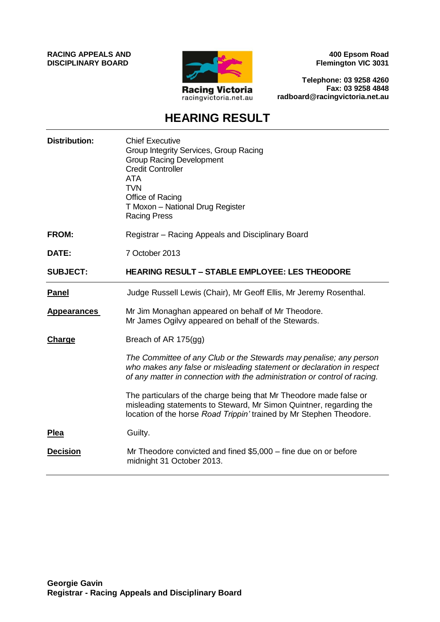**RACING APPEALS AND DISCIPLINARY BOARD**



**400 Epsom Road Flemington VIC 3031**

**Telephone: 03 9258 4260 Fax: 03 9258 4848 radboard@racingvictoria.net.au**

## **HEARING RESULT**

| <b>Distribution:</b> | <b>Chief Executive</b><br>Group Integrity Services, Group Racing<br><b>Group Racing Development</b><br><b>Credit Controller</b><br><b>ATA</b><br><b>TVN</b><br>Office of Racing<br>T Moxon - National Drug Register<br><b>Racing Press</b> |
|----------------------|--------------------------------------------------------------------------------------------------------------------------------------------------------------------------------------------------------------------------------------------|
| FROM:                | Registrar – Racing Appeals and Disciplinary Board                                                                                                                                                                                          |
| DATE:                | 7 October 2013                                                                                                                                                                                                                             |
| <b>SUBJECT:</b>      | <b>HEARING RESULT - STABLE EMPLOYEE: LES THEODORE</b>                                                                                                                                                                                      |
| <b>Panel</b>         | Judge Russell Lewis (Chair), Mr Geoff Ellis, Mr Jeremy Rosenthal.                                                                                                                                                                          |
| <b>Appearances</b>   | Mr Jim Monaghan appeared on behalf of Mr Theodore.<br>Mr James Ogilvy appeared on behalf of the Stewards.                                                                                                                                  |
| <b>Charge</b>        | Breach of AR 175(gg)                                                                                                                                                                                                                       |
|                      | The Committee of any Club or the Stewards may penalise; any person<br>who makes any false or misleading statement or declaration in respect<br>of any matter in connection with the administration or control of racing.                   |
|                      | The particulars of the charge being that Mr Theodore made false or<br>misleading statements to Steward, Mr Simon Quintner, regarding the<br>location of the horse Road Trippin' trained by Mr Stephen Theodore.                            |
| <b>Plea</b>          | Guilty.                                                                                                                                                                                                                                    |
| <b>Decision</b>      | Mr Theodore convicted and fined \$5,000 – fine due on or before<br>midnight 31 October 2013.                                                                                                                                               |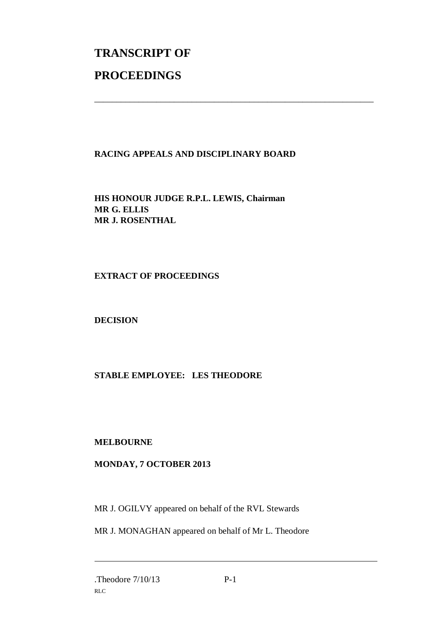# **TRANSCRIPT OF PROCEEDINGS**

### **RACING APPEALS AND DISCIPLINARY BOARD**

\_\_\_\_\_\_\_\_\_\_\_\_\_\_\_\_\_\_\_\_\_\_\_\_\_\_\_\_\_\_\_\_\_\_\_\_\_\_\_\_\_\_\_\_\_\_\_\_\_\_\_\_\_\_\_\_\_\_\_\_\_\_\_

**HIS HONOUR JUDGE R.P.L. LEWIS, Chairman MR G. ELLIS MR J. ROSENTHAL**

#### **EXTRACT OF PROCEEDINGS**

#### **DECISION**

#### **STABLE EMPLOYEE: LES THEODORE**

#### **MELBOURNE**

#### **MONDAY, 7 OCTOBER 2013**

MR J. OGILVY appeared on behalf of the RVL Stewards

MR J. MONAGHAN appeared on behalf of Mr L. Theodore